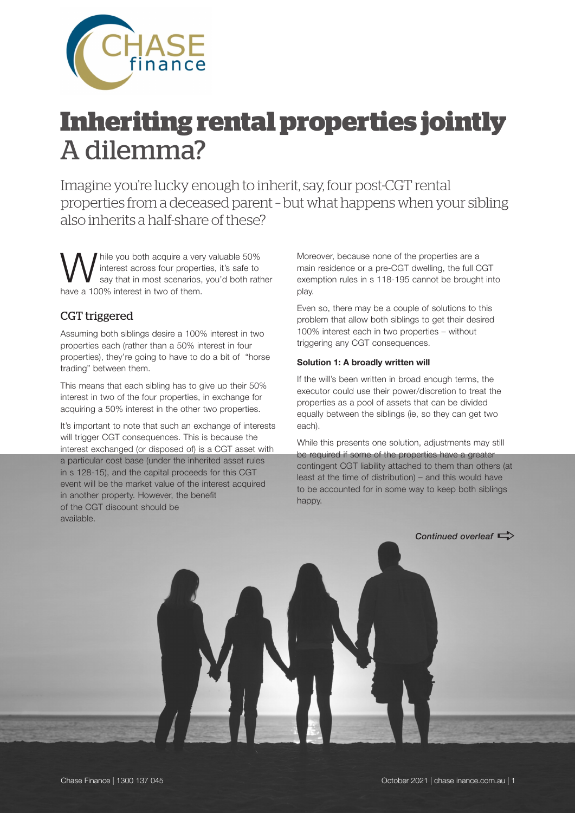

# **Inheriting rental properties jointly**  A dilemma?

Imagine you're lucky enough to inherit, say, four post-CGT rental properties from a deceased parent – but what happens when your sibling also inherits a half-share of these?

While you both acquire a very valuable 50%<br>
say that in most scenarios, you'd both rather<br>
say that in two of them interest across four properties, it's safe to have a 100% interest in two of them.

## CGT triggered

Assuming both siblings desire a 100% interest in two properties each (rather than a 50% interest in four properties), they're going to have to do a bit of "horse trading" between them.

This means that each sibling has to give up their 50% interest in two of the four properties, in exchange for acquiring a 50% interest in the other two properties.

It's important to note that such an exchange of interests will trigger CGT consequences. This is because the interest exchanged (or disposed of) is a CGT asset with a particular cost base (under the inherited asset rules in s 128-15), and the capital proceeds for this CGT event will be the market value of the interest acquired in another property. However, the benefit of the CGT discount should be available.

Moreover, because none of the properties are a main residence or a pre-CGT dwelling, the full CGT exemption rules in s 118-195 cannot be brought into play.

Even so, there may be a couple of solutions to this problem that allow both siblings to get their desired 100% interest each in two properties – without triggering any CGT consequences.

#### **Solution 1: A broadly written will**

If the will's been written in broad enough terms, the executor could use their power/discretion to treat the properties as a pool of assets that can be divided equally between the siblings (ie, so they can get two each).

While this presents one solution, adjustments may still be required if some of the properties have a greater contingent CGT liability attached to them than others (at least at the time of distribution) – and this would have to be accounted for in some way to keep both siblings happy.

**Continued overleaf**